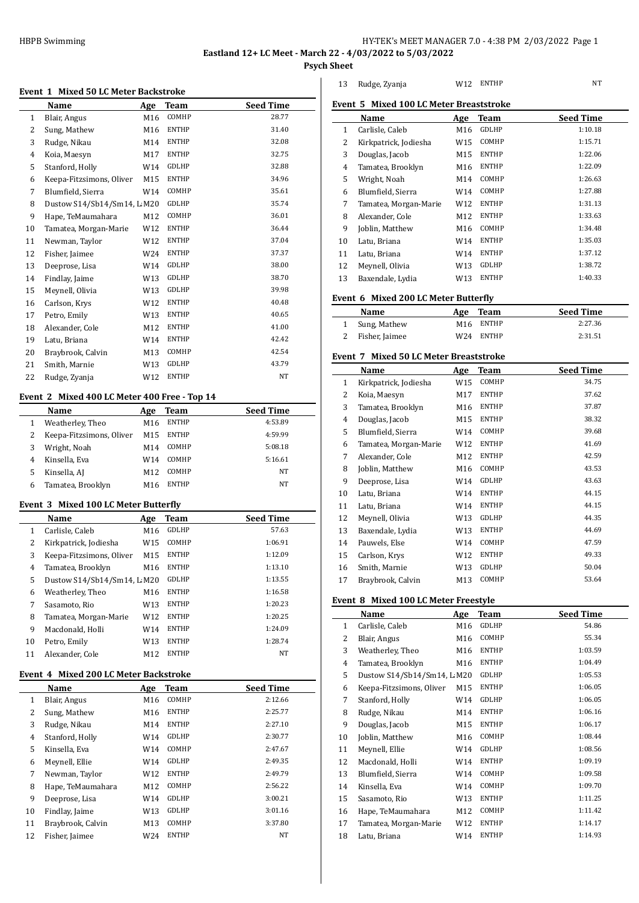HBPB Swimming **HISPB Swimming HY-TEK's MEET MANAGER 7.0 - 4:38 PM 2/03/2022** Page 1

**Eastland 12+ LC Meet - March 22 - 4/03/2022 to 5/03/2022**

**Psych Sheet**

|  |  |  |  |  | <b>Event 1 Mixed 50 LC Meter Backstroke</b> |
|--|--|--|--|--|---------------------------------------------|
|--|--|--|--|--|---------------------------------------------|

|              | <b>MACU 50 BC MCCCI BUCKSU</b> |                 |              |                  |
|--------------|--------------------------------|-----------------|--------------|------------------|
|              | Name                           | Age             | Team         | <b>Seed Time</b> |
| $\mathbf{1}$ | Blair, Angus                   | M16             | COMHP        | 28.77            |
| 2            | Sung, Mathew                   | M16             | <b>ENTHP</b> | 31.40            |
| 3            | Rudge, Nikau                   | M14             | <b>ENTHP</b> | 32.08            |
| 4            | Koia, Maesyn                   | M17             | <b>ENTHP</b> | 32.75            |
| 5            | Stanford, Holly                | W14             | GDLHP        | 32.88            |
| 6            | Keepa-Fitzsimons, Oliver       | M15             | <b>ENTHP</b> | 34.96            |
| 7            | Blumfield, Sierra              | W14             | COMHP        | 35.61            |
| 8            | Dustow S14/Sb14/Sm14, L M20    |                 | GDLHP        | 35.74            |
| 9            | Hape, TeMaumahara              | M12             | COMHP        | 36.01            |
| 10           | Tamatea, Morgan-Marie          | W12             | <b>ENTHP</b> | 36.44            |
| 11           | Newman, Taylor                 | W <sub>12</sub> | <b>ENTHP</b> | 37.04            |
| 12           | Fisher, Jaimee                 | W24             | <b>ENTHP</b> | 37.37            |
| 13           | Deeprose, Lisa                 | W14             | GDLHP        | 38.00            |
| 14           | Findlay, Jaime                 | W13             | GDLHP        | 38.70            |
| 15           | Meynell, Olivia                | W13             | GDLHP        | 39.98            |
| 16           | Carlson, Krys                  | W12             | <b>ENTHP</b> | 40.48            |
| 17           | Petro, Emily                   | W13             | <b>ENTHP</b> | 40.65            |
| 18           | Alexander, Cole                | M12             | <b>ENTHP</b> | 41.00            |
| 19           | Latu, Briana                   | W14             | <b>ENTHP</b> | 42.42            |
| 20           | Braybrook, Calvin              | M13             | COMHP        | 42.54            |
| 21           | Smith, Marnie                  | W13             | GDLHP        | 43.79            |
| 22           | Rudge, Zyanja                  | W12             | <b>ENTHP</b> | NT               |
|              |                                |                 |              |                  |

### **Event 2 Mixed 400 LC Meter 400 Free - Top 14**

|   | Name                     | Age             | Team         | <b>Seed Time</b> |
|---|--------------------------|-----------------|--------------|------------------|
|   | Weatherley, Theo         | M16             | <b>ENTHP</b> | 4:53.89          |
|   | Keepa-Fitzsimons, Oliver | M <sub>15</sub> | <b>ENTHP</b> | 4:59.99          |
| 3 | Wright, Noah             | M14             | COMHP        | 5:08.18          |
| 4 | Kinsella, Eva            | W14             | <b>COMHP</b> | 5:16.61          |
| 5 | Kinsella, AJ             | M <sub>12</sub> | COMHP        | NT               |
| 6 | Tamatea, Brooklyn        | M16             | <b>ENTHP</b> | <b>NT</b>        |

### **Event 3 Mixed 100 LC Meter Butterfly**

L

|    | Name                        | Age             | <b>Team</b>  | <b>Seed Time</b> |
|----|-----------------------------|-----------------|--------------|------------------|
| 1  | Carlisle, Caleb             | M16             | GDLHP        | 57.63            |
| 2  | Kirkpatrick, Jodiesha       | W15             | COMHP        | 1:06.91          |
| 3  | Keepa-Fitzsimons, Oliver    | M15             | <b>ENTHP</b> | 1:12.09          |
| 4  | Tamatea, Brooklyn           | M16             | <b>ENTHP</b> | 1:13.10          |
| 5  | Dustow S14/Sb14/Sm14, L M20 |                 | <b>GDLHP</b> | 1:13.55          |
| 6  | Weatherley, Theo            | M16             | <b>ENTHP</b> | 1:16.58          |
| 7  | Sasamoto, Rio               | W <sub>13</sub> | <b>ENTHP</b> | 1:20.23          |
| 8  | Tamatea, Morgan-Marie       | W <sub>12</sub> | <b>ENTHP</b> | 1:20.25          |
| 9  | Macdonald. Holli            | W14             | <b>ENTHP</b> | 1:24.09          |
| 10 | Petro, Emily                | W <sub>13</sub> | <b>ENTHP</b> | 1:28.74          |
| 11 | Alexander, Cole             | M12             | <b>ENTHP</b> | NT               |

# **Event 4 Mixed 200 LC Meter Backstroke**

|    | Name              | Age             | <b>Team</b>  | <b>Seed Time</b> |
|----|-------------------|-----------------|--------------|------------------|
| 1  | Blair, Angus      | M16             | COMHP        | 2:12.66          |
| 2  | Sung, Mathew      | M <sub>16</sub> | <b>ENTHP</b> | 2:25.77          |
| 3  | Rudge, Nikau      | M14             | <b>ENTHP</b> | 2:27.10          |
| 4  | Stanford, Holly   | W14             | GDLHP        | 2:30.77          |
| 5  | Kinsella, Eva     | W14             | COMHP        | 2:47.67          |
| 6  | Meynell, Ellie    | W14             | <b>GDLHP</b> | 2:49.35          |
| 7  | Newman, Taylor    | W12             | <b>ENTHP</b> | 2:49.79          |
| 8  | Hape, TeMaumahara | M12             | COMHP        | 2:56.22          |
| 9  | Deeprose, Lisa    | W14             | GDLHP        | 3:00.21          |
| 10 | Findlay, Jaime    | W13             | GDLHP        | 3:01.16          |
| 11 | Braybrook, Calvin | M13             | COMHP        | 3:37.80          |
| 12 | Fisher, Jaimee    | W24             | <b>ENTHP</b> | NT               |

| 13 | Rudge, Zyanja                           | W <sub>12</sub> ENTHP | NT |
|----|-----------------------------------------|-----------------------|----|
|    | Event 5 Mixed 100 LC Meter Breaststroke |                       |    |

|    | Name                  | Age | <b>Team</b>  | <b>Seed Time</b> |
|----|-----------------------|-----|--------------|------------------|
| 1  | Carlisle, Caleb       | M16 | GDLHP        | 1:10.18          |
| 2  | Kirkpatrick, Jodiesha | W15 | COMHP        | 1:15.71          |
| 3  | Douglas, Jacob        | M15 | <b>ENTHP</b> | 1:22.06          |
| 4  | Tamatea, Brooklyn     | M16 | <b>ENTHP</b> | 1:22.09          |
| 5  | Wright, Noah          | M14 | COMHP        | 1:26.63          |
| 6  | Blumfield, Sierra     | W14 | COMHP        | 1:27.88          |
| 7  | Tamatea, Morgan-Marie | W12 | <b>ENTHP</b> | 1:31.13          |
| 8  | Alexander, Cole       | M12 | <b>ENTHP</b> | 1:33.63          |
| 9  | Joblin, Matthew       | M16 | COMHP        | 1:34.48          |
| 10 | Latu, Briana          | W14 | <b>ENTHP</b> | 1:35.03          |
| 11 | Latu, Briana          | W14 | <b>ENTHP</b> | 1:37.12          |
| 12 | Meynell, Olivia       | W13 | GDLHP        | 1:38.72          |
| 13 | Baxendale, Lydia      | W13 | <b>ENTHP</b> | 1:40.33          |

# **Event 6 Mixed 200 LC Meter Butterfly**

| Name             | Age Team              | <b>Seed Time</b> |
|------------------|-----------------------|------------------|
| 1 Sung, Mathew   | M <sub>16</sub> ENTHP | 2:27.36          |
| 2 Fisher, Jaimee | W <sub>24</sub> ENTHP | 2:31.51          |

# **Event 7 Mixed 50 LC Meter Breaststroke**

|              | Name                  | Age | Team         | <b>Seed Time</b> |
|--------------|-----------------------|-----|--------------|------------------|
| $\mathbf{1}$ | Kirkpatrick, Jodiesha | W15 | COMHP        | 34.75            |
| 2            | Koia, Maesyn          | M17 | <b>ENTHP</b> | 37.62            |
| 3            | Tamatea, Brooklyn     | M16 | <b>ENTHP</b> | 37.87            |
| 4            | Douglas, Jacob        | M15 | <b>ENTHP</b> | 38.32            |
| 5            | Blumfield, Sierra     | W14 | COMHP        | 39.68            |
| 6            | Tamatea, Morgan-Marie | W12 | ENTHP        | 41.69            |
| 7            | Alexander, Cole       | M12 | <b>ENTHP</b> | 42.59            |
| 8            | Joblin, Matthew       | M16 | COMHP        | 43.53            |
| 9            | Deeprose, Lisa        | W14 | GDLHP        | 43.63            |
| 10           | Latu, Briana          | W14 | <b>ENTHP</b> | 44.15            |
| 11           | Latu, Briana          | W14 | <b>ENTHP</b> | 44.15            |
| 12           | Meynell, Olivia       | W13 | GDLHP        | 44.35            |
| 13           | Baxendale, Lydia      | W13 | <b>ENTHP</b> | 44.69            |
| 14           | Pauwels, Else         | W14 | COMHP        | 47.59            |
| 15           | Carlson, Krys         | W12 | ENTHP        | 49.33            |
| 16           | Smith, Marnie         | W13 | GDLHP        | 50.04            |
| 17           | Braybrook, Calvin     | M13 | COMHP        | 53.64            |

# **Event 8 Mixed 100 LC Meter Freestyle**

|              | Name                        | Age | Team         | <b>Seed Time</b> |
|--------------|-----------------------------|-----|--------------|------------------|
| $\mathbf{1}$ | Carlisle, Caleb             | M16 | GDLHP        | 54.86            |
| 2            | Blair, Angus                | M16 | COMHP        | 55.34            |
| 3            | Weatherley, Theo            | M16 | <b>ENTHP</b> | 1:03.59          |
| 4            | Tamatea, Brooklyn           | M16 | <b>ENTHP</b> | 1:04.49          |
| 5            | Dustow S14/Sb14/Sm14, L M20 |     | GDLHP        | 1:05.53          |
| 6            | Keepa-Fitzsimons, Oliver    | M15 | <b>ENTHP</b> | 1:06.05          |
| 7            | Stanford, Holly             | W14 | GDLHP        | 1:06.05          |
| 8            | Rudge, Nikau                | M14 | <b>ENTHP</b> | 1:06.16          |
| 9            | Douglas, Jacob              | M15 | <b>ENTHP</b> | 1:06.17          |
| 10           | Joblin, Matthew             | M16 | COMHP        | 1:08.44          |
| 11           | Meynell, Ellie              | W14 | GDLHP        | 1:08.56          |
| 12           | Macdonald, Holli            | W14 | <b>ENTHP</b> | 1:09.19          |
| 13           | Blumfield, Sierra           | W14 | COMHP        | 1:09.58          |
| 14           | Kinsella, Eva               | W14 | COMHP        | 1:09.70          |
| 15           | Sasamoto, Rio               | W13 | <b>ENTHP</b> | 1:11.25          |
| 16           | Hape, TeMaumahara           | M12 | COMHP        | 1:11.42          |
| 17           | Tamatea, Morgan-Marie       | W12 | <b>ENTHP</b> | 1:14.17          |
| 18           | Latu, Briana                | W14 | <b>ENTHP</b> | 1:14.93          |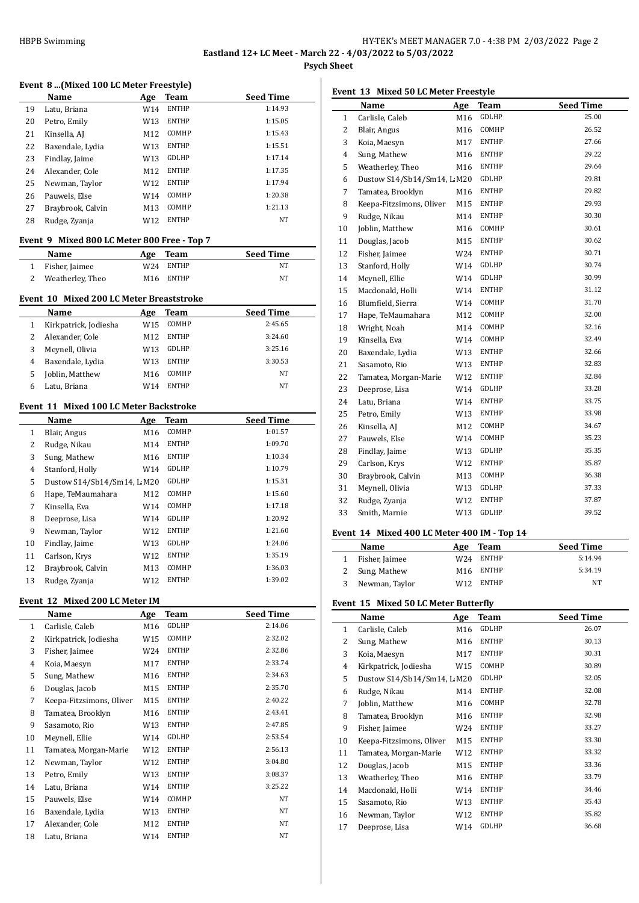**Psych Sheet**

### **Event 8 ...(Mixed 100 LC Meter Freestyle)**

|    | Name              | Age | Team         | <b>Seed Time</b> |
|----|-------------------|-----|--------------|------------------|
| 19 | Latu, Briana      | W14 | <b>ENTHP</b> | 1:14.93          |
| 20 | Petro, Emily      | W13 | <b>ENTHP</b> | 1:15.05          |
| 21 | Kinsella, AJ      | M12 | COMHP        | 1:15.43          |
| 22 | Baxendale, Lydia  | W13 | <b>ENTHP</b> | 1:15.51          |
| 23 | Findlay, Jaime    | W13 | GDLHP        | 1:17.14          |
| 24 | Alexander, Cole   | M12 | <b>ENTHP</b> | 1:17.35          |
| 25 | Newman, Taylor    | W12 | <b>ENTHP</b> | 1:17.94          |
| 26 | Pauwels, Else     | W14 | <b>COMHP</b> | 1:20.38          |
| 27 | Braybrook, Calvin | M13 | COMHP        | 1:21.13          |
| 28 | Rudge, Zyanja     | W12 | <b>ENTHP</b> | NT               |
|    |                   |     |              |                  |

# **Event 9 Mixed 800 LC Meter 800 Free - Top 7**

| Name               |     | Age Team  | <b>Seed Time</b> |
|--------------------|-----|-----------|------------------|
| 1 Fisher, Jaimee   |     | W24 ENTHP | NT               |
| 2 Weatherley, Theo | M16 | ENTHP     | <b>NT</b>        |

### **Event 10 Mixed 200 LC Meter Breaststroke**

|   | Name                  | Age             | Team         | <b>Seed Time</b> |  |  |  |
|---|-----------------------|-----------------|--------------|------------------|--|--|--|
| 1 | Kirkpatrick, Jodiesha | W15             | <b>COMHP</b> | 2:45.65          |  |  |  |
| 2 | Alexander, Cole       | M <sub>12</sub> | <b>ENTHP</b> | 3:24.60          |  |  |  |
| 3 | Meynell, Olivia       | W13             | <b>GDLHP</b> | 3:25.16          |  |  |  |
| 4 | Baxendale, Lydia      | W13             | <b>ENTHP</b> | 3:30.53          |  |  |  |
| 5 | Joblin, Matthew       | M16             | <b>COMHP</b> | <b>NT</b>        |  |  |  |
| 6 | Latu, Briana          | W14             | <b>ENTHP</b> | <b>NT</b>        |  |  |  |
|   |                       |                 |              |                  |  |  |  |

#### **Event 11 Mixed 100 LC Meter Backstroke**

|    | Name                        | Age             | Team         | <b>Seed Time</b> |
|----|-----------------------------|-----------------|--------------|------------------|
| 1  | Blair, Angus                | M <sub>16</sub> | COMHP        | 1:01.57          |
| 2  | Rudge, Nikau                | M14             | <b>ENTHP</b> | 1:09.70          |
| 3  | Sung, Mathew                | M <sub>16</sub> | <b>ENTHP</b> | 1:10.34          |
| 4  | Stanford, Holly             | W14             | <b>GDLHP</b> | 1:10.79          |
| 5  | Dustow S14/Sb14/Sm14, L M20 |                 | <b>GDLHP</b> | 1:15.31          |
| 6  | Hape, TeMaumahara           | M12             | COMHP        | 1:15.60          |
| 7  | Kinsella, Eva               | W14             | COMHP        | 1:17.18          |
| 8  | Deeprose, Lisa              | W14             | <b>GDLHP</b> | 1:20.92          |
| 9  | Newman, Taylor              | W12             | <b>ENTHP</b> | 1:21.60          |
| 10 | Findlay, Jaime              | W13             | GDLHP        | 1:24.06          |
| 11 | Carlson, Krys               | W12             | <b>ENTHP</b> | 1:35.19          |
| 12 | Braybrook, Calvin           | M13             | COMHP        | 1:36.03          |
| 13 | Rudge, Zvanja               | W12             | <b>ENTHP</b> | 1:39.02          |

# **Event 12 Mixed 200 LC Meter IM**

|                | Name                     | Age | <b>Team</b>  | <b>Seed Time</b> |
|----------------|--------------------------|-----|--------------|------------------|
| $\mathbf{1}$   | Carlisle, Caleb          | M16 | GDLHP        | 2:14.06          |
| 2              | Kirkpatrick, Jodiesha    | W15 | COMHP        | 2:32.02          |
| 3              | Fisher, Jaimee           | W24 | <b>ENTHP</b> | 2:32.86          |
| $\overline{4}$ | Koia, Maesyn             | M17 | <b>ENTHP</b> | 2:33.74          |
| 5              | Sung, Mathew             | M16 | <b>ENTHP</b> | 2:34.63          |
| 6              | Douglas, Jacob           | M15 | <b>ENTHP</b> | 2:35.70          |
| 7              | Keepa-Fitzsimons, Oliver | M15 | <b>ENTHP</b> | 2:40.22          |
| 8              | Tamatea, Brooklyn        | M16 | <b>ENTHP</b> | 2:43.41          |
| 9              | Sasamoto, Rio            | W13 | <b>ENTHP</b> | 2:47.85          |
| 10             | Meynell, Ellie           | W14 | GDLHP        | 2:53.54          |
| 11             | Tamatea, Morgan-Marie    | W12 | <b>ENTHP</b> | 2:56.13          |
| 12             | Newman, Taylor           | W12 | <b>ENTHP</b> | 3:04.80          |
| 13             | Petro, Emily             | W13 | <b>ENTHP</b> | 3:08.37          |
| 14             | Latu, Briana             | W14 | <b>ENTHP</b> | 3:25.22          |
| 15             | Pauwels, Else            | W14 | COMHP        | NT               |
| 16             | Baxendale, Lydia         | W13 | <b>ENTHP</b> | NT               |
| 17             | Alexander, Cole          | M12 | <b>ENTHP</b> | NT               |
| 18             | Latu, Briana             | W14 | <b>ENTHP</b> | NT               |

# **Event 13 Mixed 50 LC Meter Freestyle**

|    | Name                        | Age | <b>Team</b>  | <b>Seed Time</b> |
|----|-----------------------------|-----|--------------|------------------|
| 1  | Carlisle, Caleb             | M16 | GDLHP        | 25.00            |
| 2  | Blair, Angus                | M16 | COMHP        | 26.52            |
| 3  | Koia, Maesyn                | M17 | <b>ENTHP</b> | 27.66            |
| 4  | Sung, Mathew                | M16 | ENTHP        | 29.22            |
| 5  | Weatherley, Theo            | M16 | <b>ENTHP</b> | 29.64            |
| 6  | Dustow S14/Sb14/Sm14, L M20 |     | GDLHP        | 29.81            |
| 7  | Tamatea, Brooklyn           | M16 | ENTHP        | 29.82            |
| 8  | Keepa-Fitzsimons, Oliver    | M15 | <b>ENTHP</b> | 29.93            |
| 9  | Rudge, Nikau                | M14 | ENTHP        | 30.30            |
| 10 | Joblin, Matthew             | M16 | COMHP        | 30.61            |
| 11 | Douglas, Jacob              | M15 | <b>ENTHP</b> | 30.62            |
| 12 | Fisher, Jaimee              | W24 | ENTHP        | 30.71            |
| 13 | Stanford, Holly             | W14 | GDLHP        | 30.74            |
| 14 | Meynell, Ellie              | W14 | GDLHP        | 30.99            |
| 15 | Macdonald, Holli            | W14 | <b>ENTHP</b> | 31.12            |
| 16 | Blumfield, Sierra           | W14 | COMHP        | 31.70            |
| 17 | Hape, TeMaumahara           | M12 | COMHP        | 32.00            |
| 18 | Wright, Noah                | M14 | COMHP        | 32.16            |
| 19 | Kinsella, Eva               | W14 | COMHP        | 32.49            |
| 20 | Baxendale, Lydia            | W13 | ENTHP        | 32.66            |
| 21 | Sasamoto, Rio               | W13 | <b>ENTHP</b> | 32.83            |
| 22 | Tamatea, Morgan-Marie       | W12 | ENTHP        | 32.84            |
| 23 | Deeprose, Lisa              | W14 | GDLHP        | 33.28            |
| 24 | Latu, Briana                | W14 | <b>ENTHP</b> | 33.75            |
| 25 | Petro, Emily                | W13 | ENTHP        | 33.98            |
| 26 | Kinsella, AJ                | M12 | COMHP        | 34.67            |
| 27 | Pauwels, Else               | W14 | COMHP        | 35.23            |
| 28 | Findlay, Jaime              | W13 | GDLHP        | 35.35            |
| 29 | Carlson, Krys               | W12 | <b>ENTHP</b> | 35.87            |
| 30 | Braybrook, Calvin           | M13 | COMHP        | 36.38            |
| 31 | Meynell, Olivia             | W13 | GDLHP        | 37.33            |
| 32 | Rudge, Zyanja               | W12 | <b>ENTHP</b> | 37.87            |
| 33 | Smith, Marnie               | W13 | GDLHP        | 39.52            |

### **Event 14 Mixed 400 LC Meter 400 IM - Top 14**

| <b>Name</b>      | Age | Team                  | <b>Seed Time</b> |
|------------------|-----|-----------------------|------------------|
| 1 Fisher, Jaimee |     | W <sub>24</sub> ENTHP | 5:14.94          |
| 2 Sung, Mathew   |     | M16 ENTHP             | 5:34.19          |
| 3 Newman, Taylor | W12 | ENTHP                 | <b>NT</b>        |

# **Event 15 Mixed 50 LC Meter Butterfly**

|              | Name                        | Age | Team         | <b>Seed Time</b> |
|--------------|-----------------------------|-----|--------------|------------------|
| $\mathbf{1}$ | Carlisle, Caleb             | M16 | GDLHP        | 26.07            |
| 2            | Sung, Mathew                | M16 | <b>ENTHP</b> | 30.13            |
| 3            | Koia, Maesyn                | M17 | <b>ENTHP</b> | 30.31            |
| 4            | Kirkpatrick, Jodiesha       | W15 | COMHP        | 30.89            |
| 5            | Dustow S14/Sb14/Sm14, L M20 |     | GDLHP        | 32.05            |
| 6            | Rudge, Nikau                | M14 | <b>ENTHP</b> | 32.08            |
| 7            | Joblin, Matthew             | M16 | COMHP        | 32.78            |
| 8            | Tamatea, Brooklyn           | M16 | <b>ENTHP</b> | 32.98            |
| 9            | Fisher, Jaimee              | W24 | <b>ENTHP</b> | 33.27            |
| 10           | Keepa-Fitzsimons, Oliver    | M15 | <b>ENTHP</b> | 33.30            |
| 11           | Tamatea, Morgan-Marie       | W12 | <b>ENTHP</b> | 33.32            |
| 12           | Douglas, Jacob              | M15 | <b>ENTHP</b> | 33.36            |
| 13           | Weatherley, Theo            | M16 | <b>ENTHP</b> | 33.79            |
| 14           | Macdonald, Holli            | W14 | <b>ENTHP</b> | 34.46            |
| 15           | Sasamoto, Rio               | W13 | <b>ENTHP</b> | 35.43            |
| 16           | Newman, Taylor              | W12 | <b>ENTHP</b> | 35.82            |
| 17           | Deeprose, Lisa              | W14 | GDLHP        | 36.68            |